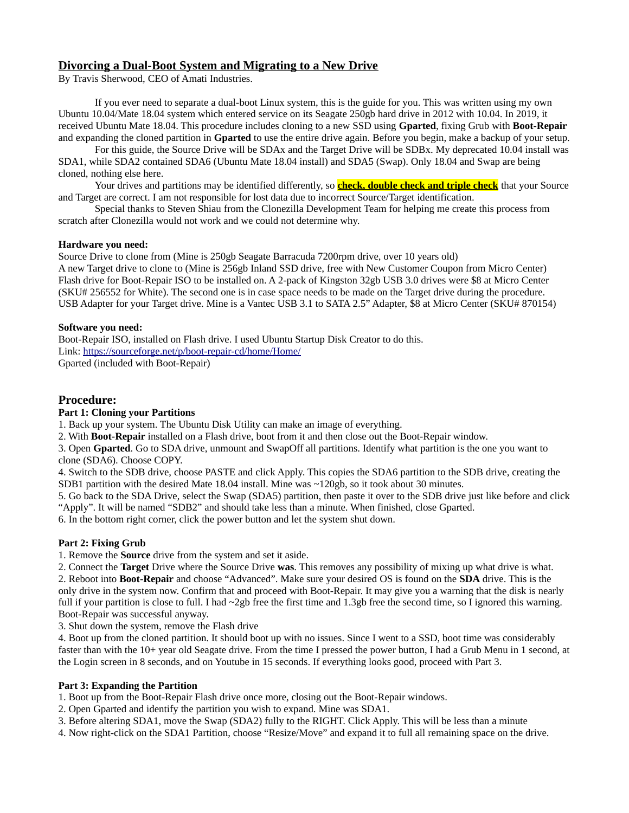# **Divorcing a Dual-Boot System and Migrating to a New Drive**

By Travis Sherwood, CEO of Amati Industries.

If you ever need to separate a dual-boot Linux system, this is the guide for you. This was written using my own Ubuntu 10.04/Mate 18.04 system which entered service on its Seagate 250gb hard drive in 2012 with 10.04. In 2019, it received Ubuntu Mate 18.04. This procedure includes cloning to a new SSD using **Gparted**, fixing Grub with **Boot-Repair** and expanding the cloned partition in **Gparted** to use the entire drive again. Before you begin, make a backup of your setup.

For this guide, the Source Drive will be SDAx and the Target Drive will be SDBx. My deprecated 10.04 install was SDA1, while SDA2 contained SDA6 (Ubuntu Mate 18.04 install) and SDA5 (Swap). Only 18.04 and Swap are being cloned, nothing else here.

Your drives and partitions may be identified differently, so **check, double check and triple check** that your Source and Target are correct. I am not responsible for lost data due to incorrect Source/Target identification.

Special thanks to Steven Shiau from the Clonezilla Development Team for helping me create this process from scratch after Clonezilla would not work and we could not determine why.

#### **Hardware you need:**

Source Drive to clone from (Mine is 250gb Seagate Barracuda 7200rpm drive, over 10 years old)

A new Target drive to clone to (Mine is 256gb Inland SSD drive, free with New Customer Coupon from Micro Center) Flash drive for Boot-Repair ISO to be installed on. A 2-pack of Kingston 32gb USB 3.0 drives were \$8 at Micro Center (SKU# 256552 for White). The second one is in case space needs to be made on the Target drive during the procedure. USB Adapter for your Target drive. Mine is a Vantec USB 3.1 to SATA 2.5" Adapter, \$8 at Micro Center (SKU# 870154)

# **Software you need:**

Boot-Repair ISO, installed on Flash drive. I used Ubuntu Startup Disk Creator to do this. Link: <https://sourceforge.net/p/boot-repair-cd/home/Home/> Gparted (included with Boot-Repair)

# **Procedure:**

### **Part 1: Cloning your Partitions**

1. Back up your system. The Ubuntu Disk Utility can make an image of everything.

2. With **Boot-Repair** installed on a Flash drive, boot from it and then close out the Boot-Repair window.

3. Open **Gparted**. Go to SDA drive, unmount and SwapOff all partitions. Identify what partition is the one you want to clone (SDA6). Choose COPY.

4. Switch to the SDB drive, choose PASTE and click Apply. This copies the SDA6 partition to the SDB drive, creating the SDB1 partition with the desired Mate 18.04 install. Mine was ~120gb, so it took about 30 minutes.

5. Go back to the SDA Drive, select the Swap (SDA5) partition, then paste it over to the SDB drive just like before and click "Apply". It will be named "SDB2" and should take less than a minute. When finished, close Gparted.

6. In the bottom right corner, click the power button and let the system shut down.

# **Part 2: Fixing Grub**

1. Remove the **Source** drive from the system and set it aside.

2. Connect the **Target** Drive where the Source Drive **was**. This removes any possibility of mixing up what drive is what. 2. Reboot into **Boot-Repair** and choose "Advanced". Make sure your desired OS is found on the **SDA** drive. This is the only drive in the system now. Confirm that and proceed with Boot-Repair. It may give you a warning that the disk is nearly full if your partition is close to full. I had  $\sim$ 2gb free the first time and 1.3gb free the second time, so I ignored this warning. Boot-Repair was successful anyway.

3. Shut down the system, remove the Flash drive

4. Boot up from the cloned partition. It should boot up with no issues. Since I went to a SSD, boot time was considerably faster than with the 10+ year old Seagate drive. From the time I pressed the power button, I had a Grub Menu in 1 second, at the Login screen in 8 seconds, and on Youtube in 15 seconds. If everything looks good, proceed with Part 3.

# **Part 3: Expanding the Partition**

1. Boot up from the Boot-Repair Flash drive once more, closing out the Boot-Repair windows.

2. Open Gparted and identify the partition you wish to expand. Mine was SDA1.

3. Before altering SDA1, move the Swap (SDA2) fully to the RIGHT. Click Apply. This will be less than a minute

4. Now right-click on the SDA1 Partition, choose "Resize/Move" and expand it to full all remaining space on the drive.